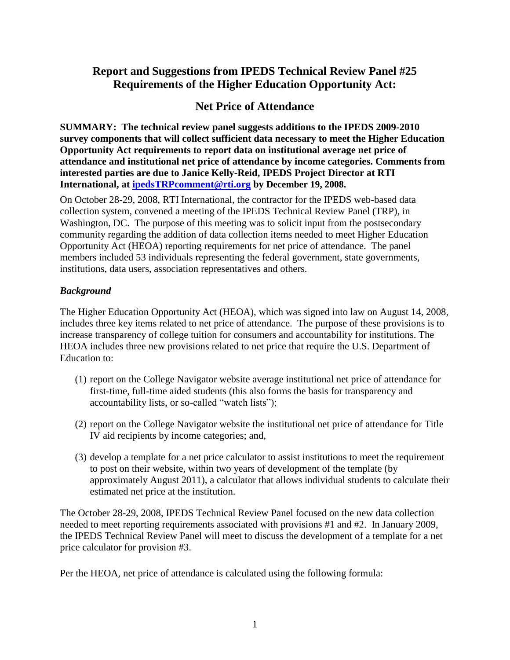# **Report and Suggestions from IPEDS Technical Review Panel #25 Requirements of the Higher Education Opportunity Act:**

# **Net Price of Attendance**

**SUMMARY: The technical review panel suggests additions to the IPEDS 2009-2010 survey components that will collect sufficient data necessary to meet the Higher Education Opportunity Act requirements to report data on institutional average net price of attendance and institutional net price of attendance by income categories. Comments from interested parties are due to Janice Kelly-Reid, IPEDS Project Director at RTI International, at [ipedsTRPcomment@rti.org](mailto:ipedsTRPcomment@rti.org) by December 19, 2008.**

On October 28-29, 2008, RTI International, the contractor for the IPEDS web-based data collection system, convened a meeting of the IPEDS Technical Review Panel (TRP), in Washington, DC. The purpose of this meeting was to solicit input from the postsecondary community regarding the addition of data collection items needed to meet Higher Education Opportunity Act (HEOA) reporting requirements for net price of attendance. The panel members included 53 individuals representing the federal government, state governments, institutions, data users, association representatives and others.

## *Background*

The Higher Education Opportunity Act (HEOA), which was signed into law on August 14, 2008, includes three key items related to net price of attendance. The purpose of these provisions is to increase transparency of college tuition for consumers and accountability for institutions. The HEOA includes three new provisions related to net price that require the U.S. Department of Education to:

- (1) report on the College Navigator website average institutional net price of attendance for first-time, full-time aided students (this also forms the basis for transparency and accountability lists, or so-called "watch lists");
- (2) report on the College Navigator website the institutional net price of attendance for Title IV aid recipients by income categories; and,
- (3) develop a template for a net price calculator to assist institutions to meet the requirement to post on their website, within two years of development of the template (by approximately August 2011), a calculator that allows individual students to calculate their estimated net price at the institution.

The October 28-29, 2008, IPEDS Technical Review Panel focused on the new data collection needed to meet reporting requirements associated with provisions #1 and #2. In January 2009, the IPEDS Technical Review Panel will meet to discuss the development of a template for a net price calculator for provision #3.

Per the HEOA, net price of attendance is calculated using the following formula: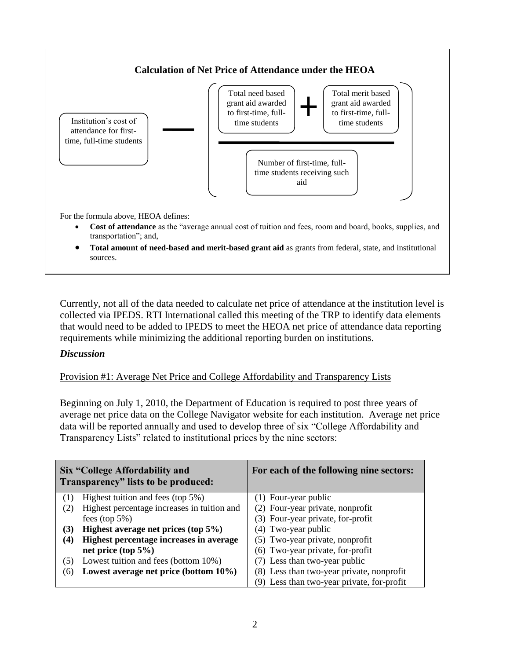

Currently, not all of the data needed to calculate net price of attendance at the institution level is collected via IPEDS. RTI International called this meeting of the TRP to identify data elements that would need to be added to IPEDS to meet the HEOA net price of attendance data reporting requirements while minimizing the additional reporting burden on institutions.

### *Discussion*

### Provision #1: Average Net Price and College Affordability and Transparency Lists

Beginning on July 1, 2010, the Department of Education is required to post three years of average net price data on the College Navigator website for each institution. Average net price data will be reported annually and used to develop three of six "College Affordability and Transparency Lists" related to institutional prices by the nine sectors:

| Six "College Affordability and<br>Transparency" lists to be produced: |                                             | For each of the following nine sectors:    |  |
|-----------------------------------------------------------------------|---------------------------------------------|--------------------------------------------|--|
|                                                                       | Highest tuition and fees (top 5%)           | (1) Four-year public                       |  |
| (2)                                                                   | Highest percentage increases in tuition and | (2) Four-year private, nonprofit           |  |
|                                                                       | fees (top $5\%$ )                           | (3) Four-year private, for-profit          |  |
| (3)                                                                   | Highest average net prices (top 5%)         | (4) Two-year public                        |  |
| (4)                                                                   | Highest percentage increases in average     | (5) Two-year private, nonprofit            |  |
|                                                                       | net price (top $5\%$ )                      | (6) Two-year private, for-profit           |  |
| (5)                                                                   | Lowest tuition and fees (bottom 10%)        | (7) Less than two-year public              |  |
| (6)                                                                   | Lowest average net price (bottom 10%)       | (8) Less than two-year private, nonprofit  |  |
|                                                                       |                                             | (9) Less than two-year private, for-profit |  |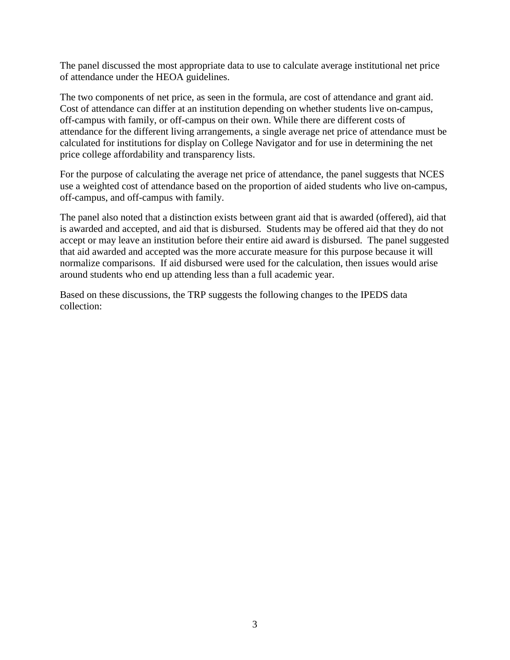The panel discussed the most appropriate data to use to calculate average institutional net price of attendance under the HEOA guidelines.

The two components of net price, as seen in the formula, are cost of attendance and grant aid. Cost of attendance can differ at an institution depending on whether students live on-campus, off-campus with family, or off-campus on their own. While there are different costs of attendance for the different living arrangements, a single average net price of attendance must be calculated for institutions for display on College Navigator and for use in determining the net price college affordability and transparency lists.

For the purpose of calculating the average net price of attendance, the panel suggests that NCES use a weighted cost of attendance based on the proportion of aided students who live on-campus, off-campus, and off-campus with family.

The panel also noted that a distinction exists between grant aid that is awarded (offered), aid that is awarded and accepted, and aid that is disbursed. Students may be offered aid that they do not accept or may leave an institution before their entire aid award is disbursed. The panel suggested that aid awarded and accepted was the more accurate measure for this purpose because it will normalize comparisons. If aid disbursed were used for the calculation, then issues would arise around students who end up attending less than a full academic year.

Based on these discussions, the TRP suggests the following changes to the IPEDS data collection: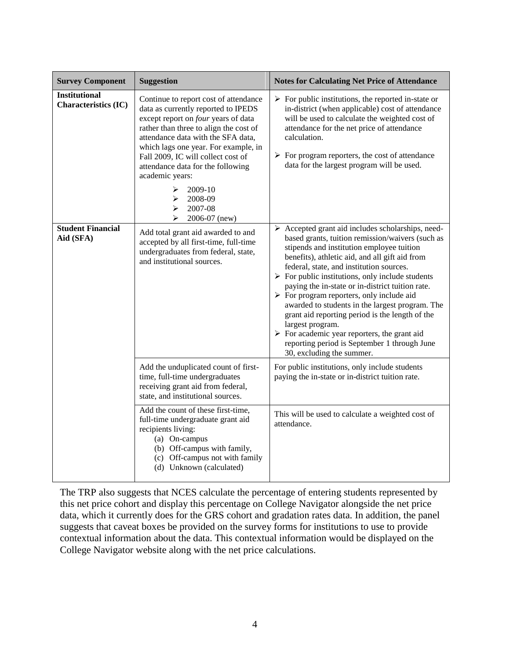| <b>Survey Component</b>                             | <b>Suggestion</b>                                                                                                                                                                                                                                                                                                                                                                                          | <b>Notes for Calculating Net Price of Attendance</b>                                                                                                                                                                                                                                                                                                                                                                                                                                                                                                                                                                                                                                                                     |
|-----------------------------------------------------|------------------------------------------------------------------------------------------------------------------------------------------------------------------------------------------------------------------------------------------------------------------------------------------------------------------------------------------------------------------------------------------------------------|--------------------------------------------------------------------------------------------------------------------------------------------------------------------------------------------------------------------------------------------------------------------------------------------------------------------------------------------------------------------------------------------------------------------------------------------------------------------------------------------------------------------------------------------------------------------------------------------------------------------------------------------------------------------------------------------------------------------------|
| <b>Institutional</b><br><b>Characteristics (IC)</b> | Continue to report cost of attendance<br>data as currently reported to IPEDS<br>except report on four years of data<br>rather than three to align the cost of<br>attendance data with the SFA data,<br>which lags one year. For example, in<br>Fall 2009, IC will collect cost of<br>attendance data for the following<br>academic years:<br>⋗<br>2009-10<br>2008-09<br>➤<br>2007-08<br>➤<br>2006-07 (new) | $\triangleright$ For public institutions, the reported in-state or<br>in-district (when applicable) cost of attendance<br>will be used to calculate the weighted cost of<br>attendance for the net price of attendance<br>calculation.<br>$\triangleright$ For program reporters, the cost of attendance<br>data for the largest program will be used.                                                                                                                                                                                                                                                                                                                                                                   |
| <b>Student Financial</b><br>Aid (SFA)               | Add total grant aid awarded to and<br>accepted by all first-time, full-time<br>undergraduates from federal, state,<br>and institutional sources.                                                                                                                                                                                                                                                           | $\triangleright$ Accepted grant aid includes scholarships, need-<br>based grants, tuition remission/waivers (such as<br>stipends and institution employee tuition<br>benefits), athletic aid, and all gift aid from<br>federal, state, and institution sources.<br>$\triangleright$ For public institutions, only include students<br>paying the in-state or in-district tuition rate.<br>$\triangleright$ For program reporters, only include aid<br>awarded to students in the largest program. The<br>grant aid reporting period is the length of the<br>largest program.<br>$\triangleright$ For academic year reporters, the grant aid<br>reporting period is September 1 through June<br>30, excluding the summer. |
|                                                     | Add the unduplicated count of first-<br>time, full-time undergraduates<br>receiving grant aid from federal,<br>state, and institutional sources.                                                                                                                                                                                                                                                           | For public institutions, only include students<br>paying the in-state or in-district tuition rate.                                                                                                                                                                                                                                                                                                                                                                                                                                                                                                                                                                                                                       |
|                                                     | Add the count of these first-time,<br>full-time undergraduate grant aid<br>recipients living:<br>(a) On-campus<br>(b) Off-campus with family,<br>(c) Off-campus not with family<br>(d) Unknown (calculated)                                                                                                                                                                                                | This will be used to calculate a weighted cost of<br>attendance.                                                                                                                                                                                                                                                                                                                                                                                                                                                                                                                                                                                                                                                         |

The TRP also suggests that NCES calculate the percentage of entering students represented by this net price cohort and display this percentage on College Navigator alongside the net price data, which it currently does for the GRS cohort and gradation rates data. In addition, the panel suggests that caveat boxes be provided on the survey forms for institutions to use to provide contextual information about the data. This contextual information would be displayed on the College Navigator website along with the net price calculations.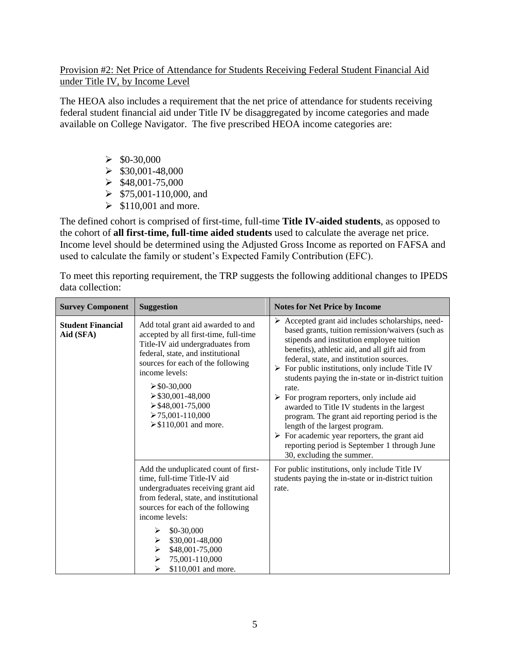### Provision #2: Net Price of Attendance for Students Receiving Federal Student Financial Aid under Title IV, by Income Level

The HEOA also includes a requirement that the net price of attendance for students receiving federal student financial aid under Title IV be disaggregated by income categories and made available on College Navigator. The five prescribed HEOA income categories are:

- $\geq$  \$0-30,000
- $\blacktriangleright$  \$30,001-48,000
- $\blacktriangleright$  \$48,001-75,000
- $\geq$  \$75,001-110,000, and
- $\geq$  \$110,001 and more.

The defined cohort is comprised of first-time, full-time **Title IV-aided students**, as opposed to the cohort of **all first-time, full-time aided students** used to calculate the average net price. Income level should be determined using the Adjusted Gross Income as reported on FAFSA and used to calculate the family or student's Expected Family Contribution (EFC).

To meet this reporting requirement, the TRP suggests the following additional changes to IPEDS data collection:

| <b>Survey Component</b>               | <b>Suggestion</b>                                                                                                                                                                                                                                                                                                                             | <b>Notes for Net Price by Income</b>                                                                                                                                                                                                                                                                                                                                                                                                                                                                                                                                                                                                                                                                                                          |
|---------------------------------------|-----------------------------------------------------------------------------------------------------------------------------------------------------------------------------------------------------------------------------------------------------------------------------------------------------------------------------------------------|-----------------------------------------------------------------------------------------------------------------------------------------------------------------------------------------------------------------------------------------------------------------------------------------------------------------------------------------------------------------------------------------------------------------------------------------------------------------------------------------------------------------------------------------------------------------------------------------------------------------------------------------------------------------------------------------------------------------------------------------------|
| <b>Student Financial</b><br>Aid (SFA) | Add total grant aid awarded to and<br>accepted by all first-time, full-time<br>Title-IV aid undergraduates from<br>federal, state, and institutional<br>sources for each of the following<br>income levels:<br>$\geq$ \$0-30,000<br>$\geq$ \$30,001-48,000<br>$\geq$ \$48,001-75,000<br>$\geq 75,001 - 110,000$<br>$\geq$ \$110,001 and more. | $\triangleright$ Accepted grant aid includes scholarships, need-<br>based grants, tuition remission/waivers (such as<br>stipends and institution employee tuition<br>benefits), athletic aid, and all gift aid from<br>federal, state, and institution sources.<br>$\triangleright$ For public institutions, only include Title IV<br>students paying the in-state or in-district tuition<br>rate.<br>$\triangleright$ For program reporters, only include aid<br>awarded to Title IV students in the largest<br>program. The grant aid reporting period is the<br>length of the largest program.<br>$\triangleright$ For academic year reporters, the grant aid<br>reporting period is September 1 through June<br>30, excluding the summer. |
|                                       | Add the unduplicated count of first-<br>time, full-time Title-IV aid<br>undergraduates receiving grant aid<br>from federal, state, and institutional<br>sources for each of the following<br>income levels:<br>$$0-30,000$<br>\$30,001-48,000<br>➤<br>\$48,001-75,000<br>➤<br>75,001-110,000<br>➤<br>\$110,001 and more.                      | For public institutions, only include Title IV<br>students paying the in-state or in-district tuition<br>rate.                                                                                                                                                                                                                                                                                                                                                                                                                                                                                                                                                                                                                                |